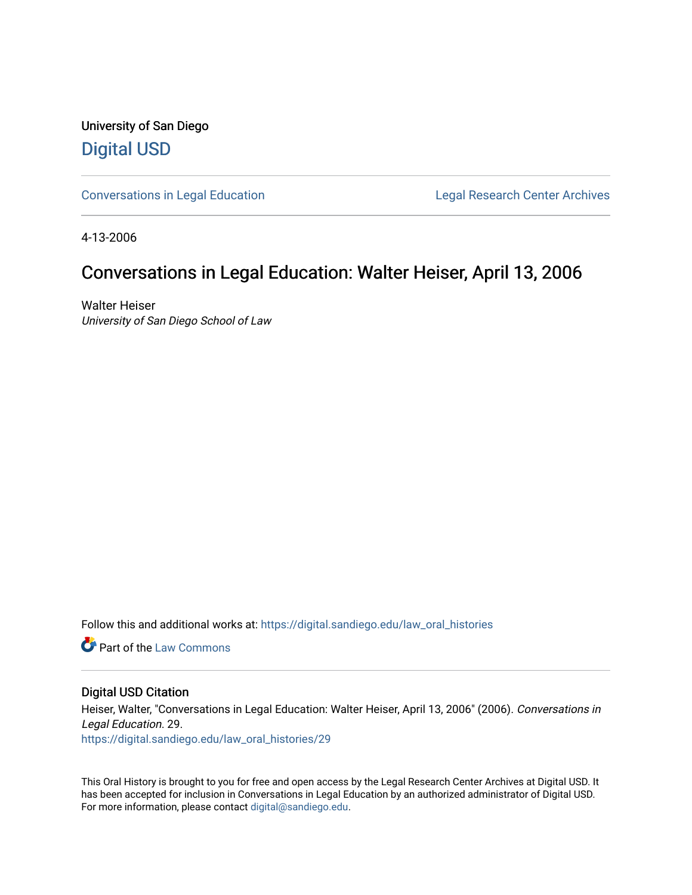University of San Diego [Digital USD](https://digital.sandiego.edu/)

[Conversations in Legal Education](https://digital.sandiego.edu/law_oral_histories) **Legal Research Center Archives** 

4-13-2006

### Conversations in Legal Education: Walter Heiser, April 13, 2006

Walter Heiser University of San Diego School of Law

Follow this and additional works at: [https://digital.sandiego.edu/law\\_oral\\_histories](https://digital.sandiego.edu/law_oral_histories?utm_source=digital.sandiego.edu%2Flaw_oral_histories%2F29&utm_medium=PDF&utm_campaign=PDFCoverPages) 

**C** Part of the [Law Commons](http://network.bepress.com/hgg/discipline/578?utm_source=digital.sandiego.edu%2Flaw_oral_histories%2F29&utm_medium=PDF&utm_campaign=PDFCoverPages)

#### Digital USD Citation

Heiser, Walter, "Conversations in Legal Education: Walter Heiser, April 13, 2006" (2006). Conversations in Legal Education. 29. [https://digital.sandiego.edu/law\\_oral\\_histories/29](https://digital.sandiego.edu/law_oral_histories/29?utm_source=digital.sandiego.edu%2Flaw_oral_histories%2F29&utm_medium=PDF&utm_campaign=PDFCoverPages) 

This Oral History is brought to you for free and open access by the Legal Research Center Archives at Digital USD. It has been accepted for inclusion in Conversations in Legal Education by an authorized administrator of Digital USD. For more information, please contact [digital@sandiego.edu](mailto:digital@sandiego.edu).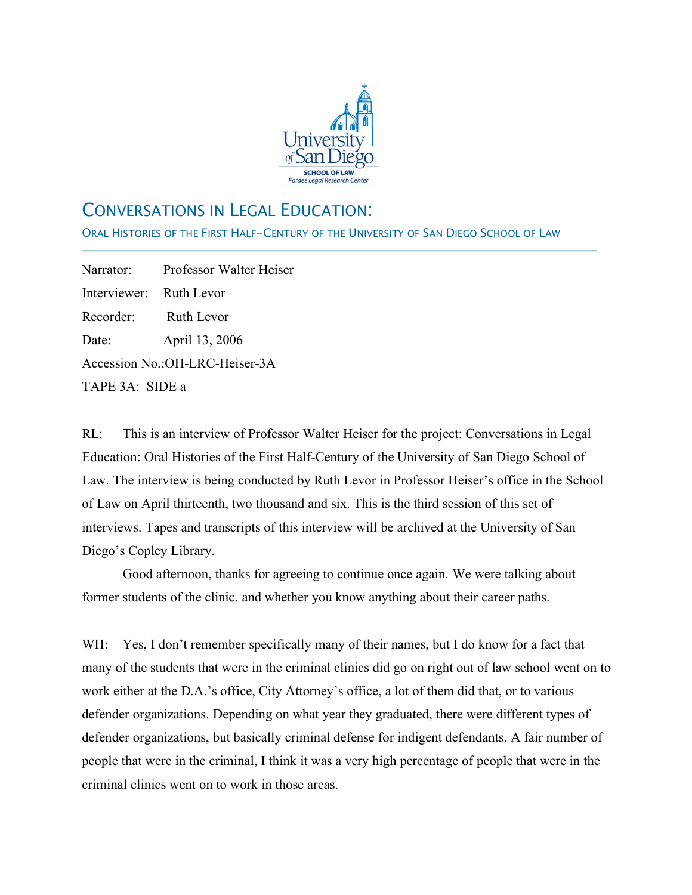

# CONVERSATIONS IN LEGAL EDUCATION:

ORAL HISTORIES OF THE FIRST HALF-CENTURY OF THE UNIVERSITY OF SAN DIEGO SCHOOL OF LAW

Narrator: Professor Walter Heiser Interviewer: Ruth Levor Recorder: Ruth Levor Date: April 13, 2006 Accession No.:OH-LRC-Heiser-3A TAPE 3A: SIDE a

j

RL: This is an interview of Professor Walter Heiser for the project: Conversations in Legal Education: Oral Histories of the First Half-Century of the University of San Diego School of Law. The interview is being conducted by Ruth Levor in Professor Heiser's office in the School of Law on April thirteenth, two thousand and six. This is the third session of this set of interviews. Tapes and transcripts of this interview will be archived at the University of San Diego's Copley Library.

Good afternoon, thanks for agreeing to continue once again. We were talking about former students of the clinic, and whether you know anything about their career paths.

WH: Yes, I don't remember specifically many of their names, but I do know for a fact that many of the students that were in the criminal clinics did go on right out of law school went on to work either at the D.A.'s office, City Attorney's office, a lot of them did that, or to various defender organizations. Depending on what year they graduated, there were different types of defender organizations, but basically criminal defense for indigent defendants. A fair number of people that were in the criminal, I think it was a very high percentage of people that were in the criminal clinics went on to work in those areas.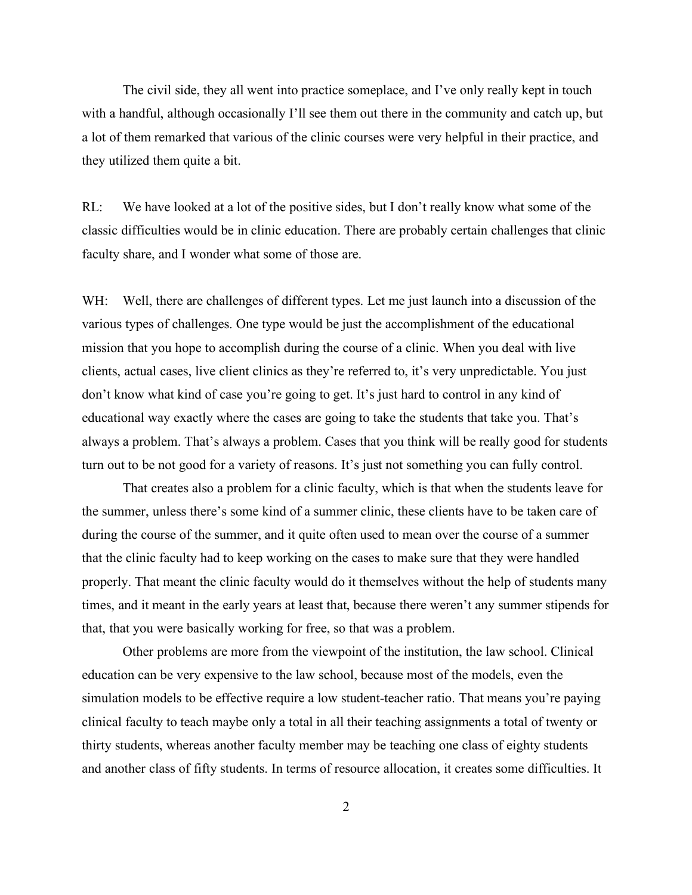The civil side, they all went into practice someplace, and I've only really kept in touch with a handful, although occasionally I'll see them out there in the community and catch up, but a lot of them remarked that various of the clinic courses were very helpful in their practice, and they utilized them quite a bit.

RL: We have looked at a lot of the positive sides, but I don't really know what some of the classic difficulties would be in clinic education. There are probably certain challenges that clinic faculty share, and I wonder what some of those are.

WH: Well, there are challenges of different types. Let me just launch into a discussion of the various types of challenges. One type would be just the accomplishment of the educational mission that you hope to accomplish during the course of a clinic. When you deal with live clients, actual cases, live client clinics as they're referred to, it's very unpredictable. You just don't know what kind of case you're going to get. It's just hard to control in any kind of educational way exactly where the cases are going to take the students that take you. That's always a problem. That's always a problem. Cases that you think will be really good for students turn out to be not good for a variety of reasons. It's just not something you can fully control.

That creates also a problem for a clinic faculty, which is that when the students leave for the summer, unless there's some kind of a summer clinic, these clients have to be taken care of during the course of the summer, and it quite often used to mean over the course of a summer that the clinic faculty had to keep working on the cases to make sure that they were handled properly. That meant the clinic faculty would do it themselves without the help of students many times, and it meant in the early years at least that, because there weren't any summer stipends for that, that you were basically working for free, so that was a problem.

Other problems are more from the viewpoint of the institution, the law school. Clinical education can be very expensive to the law school, because most of the models, even the simulation models to be effective require a low student-teacher ratio. That means you're paying clinical faculty to teach maybe only a total in all their teaching assignments a total of twenty or thirty students, whereas another faculty member may be teaching one class of eighty students and another class of fifty students. In terms of resource allocation, it creates some difficulties. It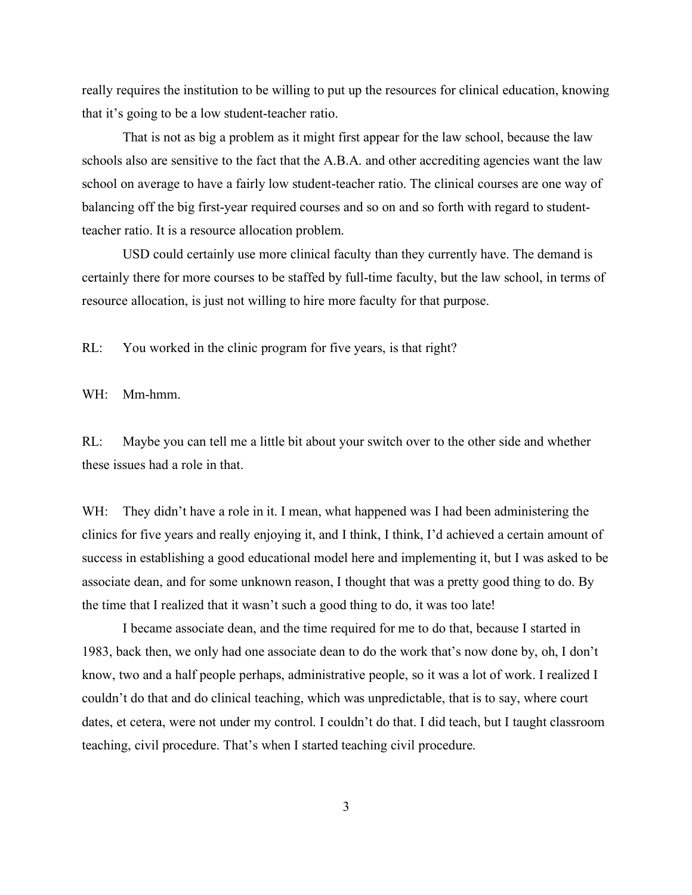really requires the institution to be willing to put up the resources for clinical education, knowing that it's going to be a low student-teacher ratio.

That is not as big a problem as it might first appear for the law school, because the law schools also are sensitive to the fact that the A.B.A. and other accrediting agencies want the law school on average to have a fairly low student-teacher ratio. The clinical courses are one way of balancing off the big first-year required courses and so on and so forth with regard to studentteacher ratio. It is a resource allocation problem.

USD could certainly use more clinical faculty than they currently have. The demand is certainly there for more courses to be staffed by full-time faculty, but the law school, in terms of resource allocation, is just not willing to hire more faculty for that purpose.

RL: You worked in the clinic program for five years, is that right?

WH: Mm-hmm.

RL: Maybe you can tell me a little bit about your switch over to the other side and whether these issues had a role in that.

WH: They didn't have a role in it. I mean, what happened was I had been administering the clinics for five years and really enjoying it, and I think, I think, I'd achieved a certain amount of success in establishing a good educational model here and implementing it, but I was asked to be associate dean, and for some unknown reason, I thought that was a pretty good thing to do. By the time that I realized that it wasn't such a good thing to do, it was too late!

I became associate dean, and the time required for me to do that, because I started in 1983, back then, we only had one associate dean to do the work that's now done by, oh, I don't know, two and a half people perhaps, administrative people, so it was a lot of work. I realized I couldn't do that and do clinical teaching, which was unpredictable, that is to say, where court dates, et cetera, were not under my control. I couldn't do that. I did teach, but I taught classroom teaching, civil procedure. That's when I started teaching civil procedure.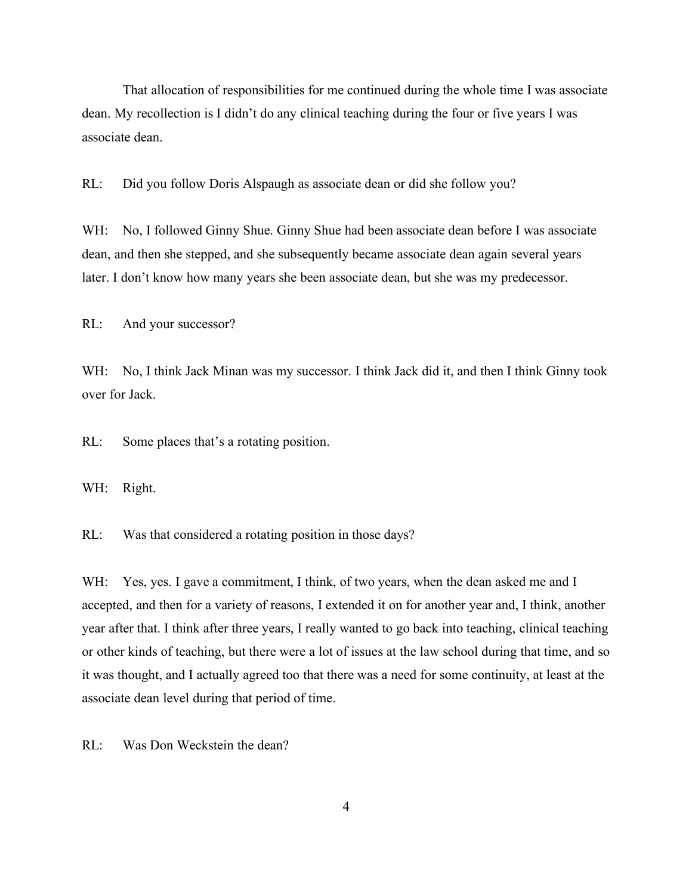That allocation of responsibilities for me continued during the whole time I was associate dean. My recollection is I didn't do any clinical teaching during the four or five years I was associate dean.

RL: Did you follow Doris Alspaugh as associate dean or did she follow you?

WH: No, I followed Ginny Shue. Ginny Shue had been associate dean before I was associate dean, and then she stepped, and she subsequently became associate dean again several years later. I don't know how many years she been associate dean, but she was my predecessor.

RL: And your successor?

WH: No, I think Jack Minan was my successor. I think Jack did it, and then I think Ginny took over for Jack.

RL: Some places that's a rotating position.

WH: Right.

RL: Was that considered a rotating position in those days?

WH: Yes, yes. I gave a commitment, I think, of two years, when the dean asked me and I accepted, and then for a variety of reasons, I extended it on for another year and, I think, another year after that. I think after three years, I really wanted to go back into teaching, clinical teaching or other kinds of teaching, but there were a lot of issues at the law school during that time, and so it was thought, and I actually agreed too that there was a need for some continuity, at least at the associate dean level during that period of time.

RL: Was Don Weckstein the dean?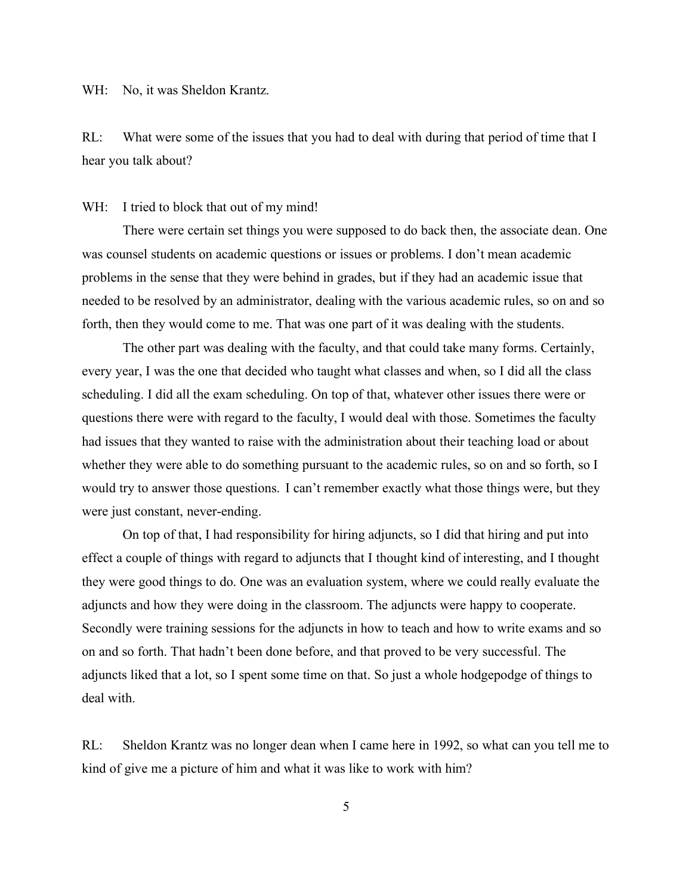WH: No, it was Sheldon Krantz.

RL: What were some of the issues that you had to deal with during that period of time that I hear you talk about?

#### WH: I tried to block that out of my mind!

There were certain set things you were supposed to do back then, the associate dean. One was counsel students on academic questions or issues or problems. I don't mean academic problems in the sense that they were behind in grades, but if they had an academic issue that needed to be resolved by an administrator, dealing with the various academic rules, so on and so forth, then they would come to me. That was one part of it was dealing with the students.

The other part was dealing with the faculty, and that could take many forms. Certainly, every year, I was the one that decided who taught what classes and when, so I did all the class scheduling. I did all the exam scheduling. On top of that, whatever other issues there were or questions there were with regard to the faculty, I would deal with those. Sometimes the faculty had issues that they wanted to raise with the administration about their teaching load or about whether they were able to do something pursuant to the academic rules, so on and so forth, so I would try to answer those questions. I can't remember exactly what those things were, but they were just constant, never-ending.

On top of that, I had responsibility for hiring adjuncts, so I did that hiring and put into effect a couple of things with regard to adjuncts that I thought kind of interesting, and I thought they were good things to do. One was an evaluation system, where we could really evaluate the adjuncts and how they were doing in the classroom. The adjuncts were happy to cooperate. Secondly were training sessions for the adjuncts in how to teach and how to write exams and so on and so forth. That hadn't been done before, and that proved to be very successful. The adjuncts liked that a lot, so I spent some time on that. So just a whole hodgepodge of things to deal with.

RL: Sheldon Krantz was no longer dean when I came here in 1992, so what can you tell me to kind of give me a picture of him and what it was like to work with him?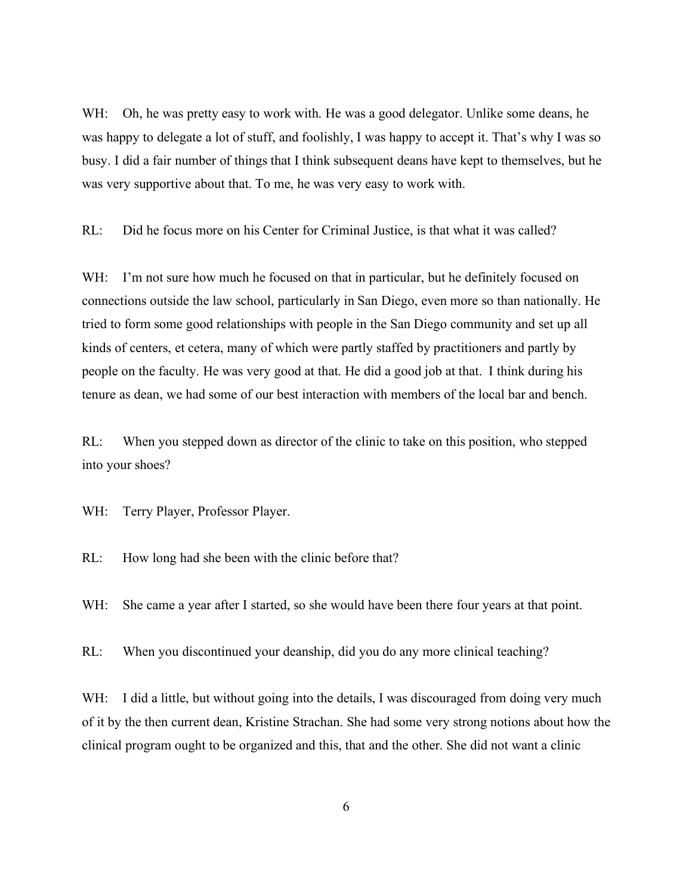WH: Oh, he was pretty easy to work with. He was a good delegator. Unlike some deans, he was happy to delegate a lot of stuff, and foolishly, I was happy to accept it. That's why I was so busy. I did a fair number of things that I think subsequent deans have kept to themselves, but he was very supportive about that. To me, he was very easy to work with.

RL: Did he focus more on his Center for Criminal Justice, is that what it was called?

WH: I'm not sure how much he focused on that in particular, but he definitely focused on connections outside the law school, particularly in San Diego, even more so than nationally. He tried to form some good relationships with people in the San Diego community and set up all kinds of centers, et cetera, many of which were partly staffed by practitioners and partly by people on the faculty. He was very good at that. He did a good job at that. I think during his tenure as dean, we had some of our best interaction with members of the local bar and bench.

RL: When you stepped down as director of the clinic to take on this position, who stepped into your shoes?

WH: Terry Player, Professor Player.

RL: How long had she been with the clinic before that?

WH: She came a year after I started, so she would have been there four years at that point.

RL: When you discontinued your deanship, did you do any more clinical teaching?

WH: I did a little, but without going into the details, I was discouraged from doing very much of it by the then current dean, Kristine Strachan. She had some very strong notions about how the clinical program ought to be organized and this, that and the other. She did not want a clinic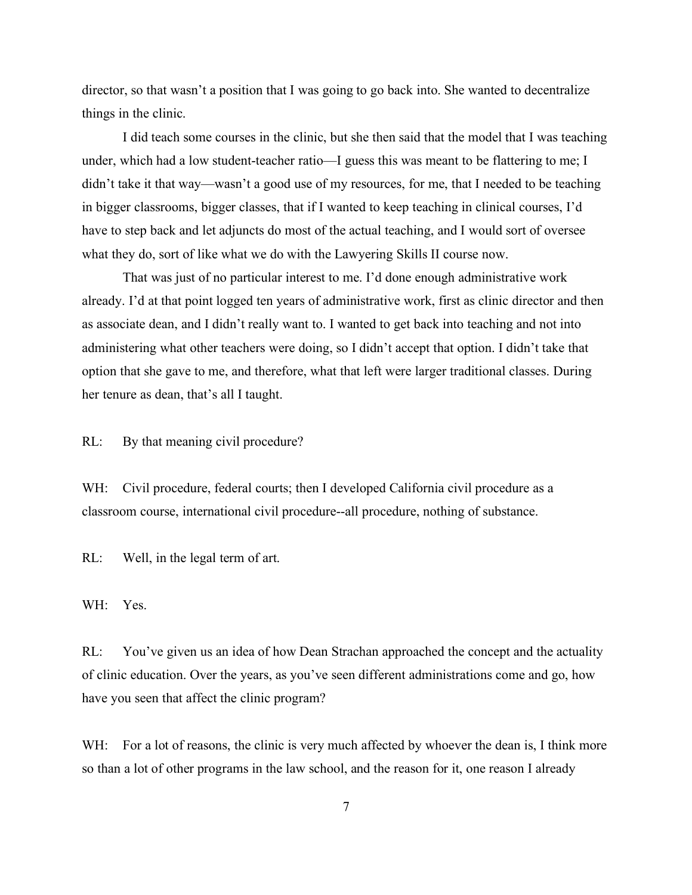director, so that wasn't a position that I was going to go back into. She wanted to decentralize things in the clinic.

I did teach some courses in the clinic, but she then said that the model that I was teaching under, which had a low student-teacher ratio—I guess this was meant to be flattering to me; I didn't take it that way—wasn't a good use of my resources, for me, that I needed to be teaching in bigger classrooms, bigger classes, that if I wanted to keep teaching in clinical courses, I'd have to step back and let adjuncts do most of the actual teaching, and I would sort of oversee what they do, sort of like what we do with the Lawyering Skills II course now.

That was just of no particular interest to me. I'd done enough administrative work already. I'd at that point logged ten years of administrative work, first as clinic director and then as associate dean, and I didn't really want to. I wanted to get back into teaching and not into administering what other teachers were doing, so I didn't accept that option. I didn't take that option that she gave to me, and therefore, what that left were larger traditional classes. During her tenure as dean, that's all I taught.

RL: By that meaning civil procedure?

WH: Civil procedure, federal courts; then I developed California civil procedure as a classroom course, international civil procedure--all procedure, nothing of substance.

RL: Well, in the legal term of art.

WH: Yes.

RL: You've given us an idea of how Dean Strachan approached the concept and the actuality of clinic education. Over the years, as you've seen different administrations come and go, how have you seen that affect the clinic program?

WH: For a lot of reasons, the clinic is very much affected by whoever the dean is, I think more so than a lot of other programs in the law school, and the reason for it, one reason I already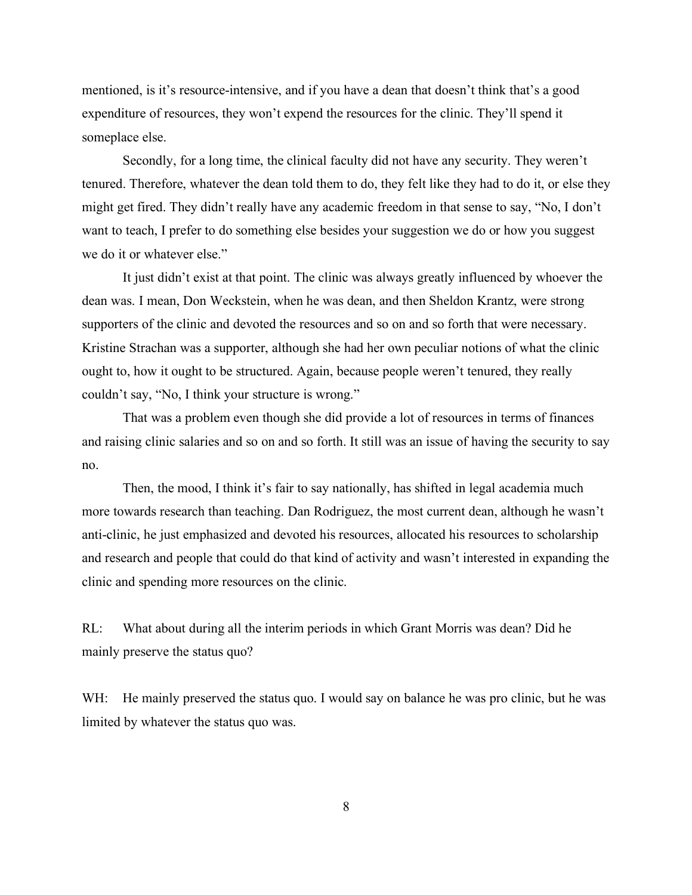mentioned, is it's resource-intensive, and if you have a dean that doesn't think that's a good expenditure of resources, they won't expend the resources for the clinic. They'll spend it someplace else.

Secondly, for a long time, the clinical faculty did not have any security. They weren't tenured. Therefore, whatever the dean told them to do, they felt like they had to do it, or else they might get fired. They didn't really have any academic freedom in that sense to say, "No, I don't want to teach, I prefer to do something else besides your suggestion we do or how you suggest we do it or whatever else."

It just didn't exist at that point. The clinic was always greatly influenced by whoever the dean was. I mean, Don Weckstein, when he was dean, and then Sheldon Krantz, were strong supporters of the clinic and devoted the resources and so on and so forth that were necessary. Kristine Strachan was a supporter, although she had her own peculiar notions of what the clinic ought to, how it ought to be structured. Again, because people weren't tenured, they really couldn't say, "No, I think your structure is wrong."

That was a problem even though she did provide a lot of resources in terms of finances and raising clinic salaries and so on and so forth. It still was an issue of having the security to say no.

Then, the mood, I think it's fair to say nationally, has shifted in legal academia much more towards research than teaching. Dan Rodriguez, the most current dean, although he wasn't anti-clinic, he just emphasized and devoted his resources, allocated his resources to scholarship and research and people that could do that kind of activity and wasn't interested in expanding the clinic and spending more resources on the clinic.

RL: What about during all the interim periods in which Grant Morris was dean? Did he mainly preserve the status quo?

WH: He mainly preserved the status quo. I would say on balance he was pro clinic, but he was limited by whatever the status quo was.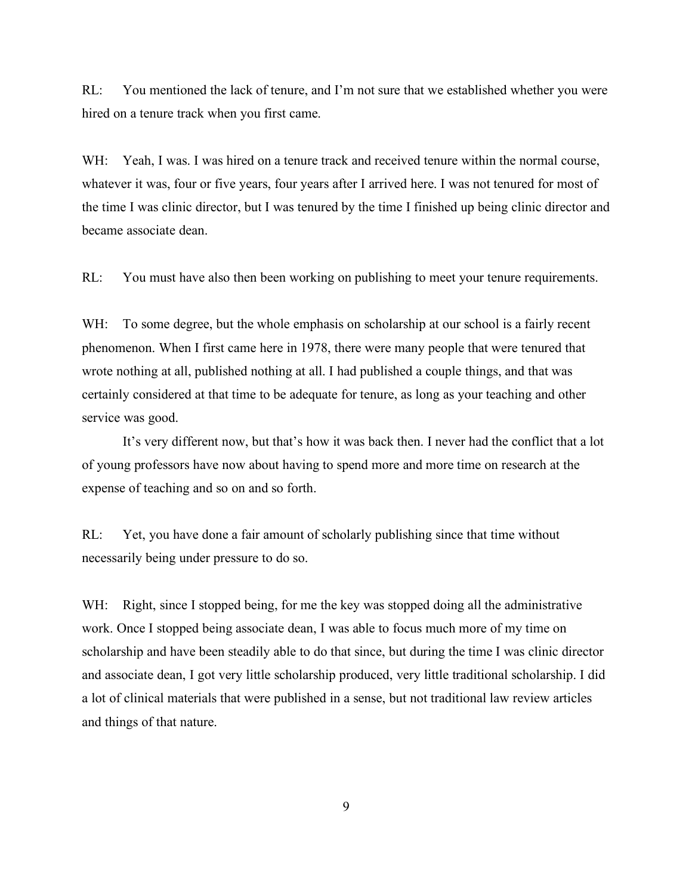RL: You mentioned the lack of tenure, and I'm not sure that we established whether you were hired on a tenure track when you first came.

WH: Yeah, I was. I was hired on a tenure track and received tenure within the normal course, whatever it was, four or five years, four years after I arrived here. I was not tenured for most of the time I was clinic director, but I was tenured by the time I finished up being clinic director and became associate dean.

RL: You must have also then been working on publishing to meet your tenure requirements.

WH: To some degree, but the whole emphasis on scholarship at our school is a fairly recent phenomenon. When I first came here in 1978, there were many people that were tenured that wrote nothing at all, published nothing at all. I had published a couple things, and that was certainly considered at that time to be adequate for tenure, as long as your teaching and other service was good.

It's very different now, but that's how it was back then. I never had the conflict that a lot of young professors have now about having to spend more and more time on research at the expense of teaching and so on and so forth.

RL: Yet, you have done a fair amount of scholarly publishing since that time without necessarily being under pressure to do so.

WH: Right, since I stopped being, for me the key was stopped doing all the administrative work. Once I stopped being associate dean, I was able to focus much more of my time on scholarship and have been steadily able to do that since, but during the time I was clinic director and associate dean, I got very little scholarship produced, very little traditional scholarship. I did a lot of clinical materials that were published in a sense, but not traditional law review articles and things of that nature.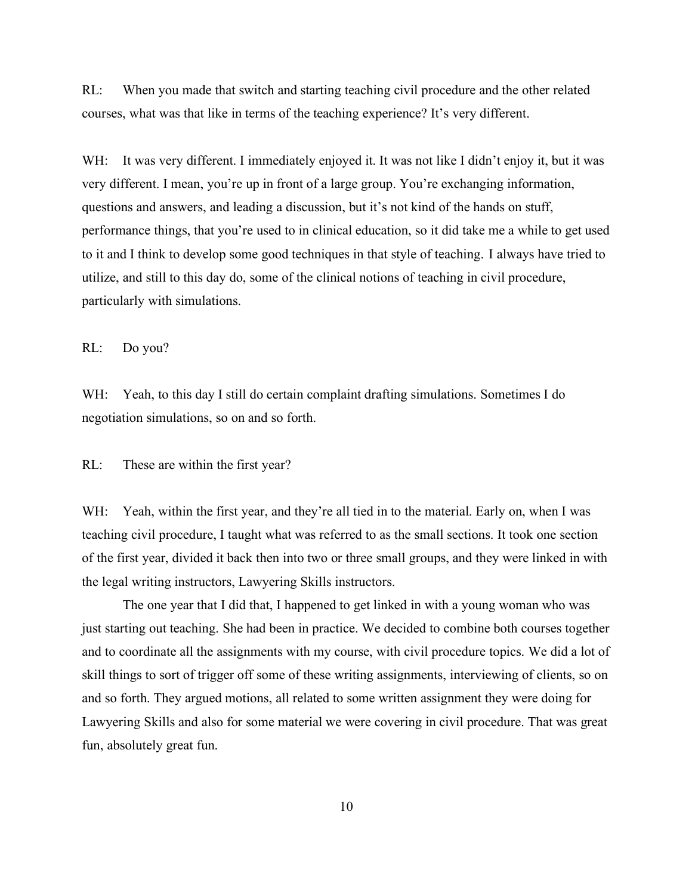RL: When you made that switch and starting teaching civil procedure and the other related courses, what was that like in terms of the teaching experience? It's very different.

WH: It was very different. I immediately enjoyed it. It was not like I didn't enjoy it, but it was very different. I mean, you're up in front of a large group. You're exchanging information, questions and answers, and leading a discussion, but it's not kind of the hands on stuff, performance things, that you're used to in clinical education, so it did take me a while to get used to it and I think to develop some good techniques in that style of teaching. I always have tried to utilize, and still to this day do, some of the clinical notions of teaching in civil procedure, particularly with simulations.

RL: Do you?

WH: Yeah, to this day I still do certain complaint drafting simulations. Sometimes I do negotiation simulations, so on and so forth.

RL: These are within the first year?

WH: Yeah, within the first year, and they're all tied in to the material. Early on, when I was teaching civil procedure, I taught what was referred to as the small sections. It took one section of the first year, divided it back then into two or three small groups, and they were linked in with the legal writing instructors, Lawyering Skills instructors.

The one year that I did that, I happened to get linked in with a young woman who was just starting out teaching. She had been in practice. We decided to combine both courses together and to coordinate all the assignments with my course, with civil procedure topics. We did a lot of skill things to sort of trigger off some of these writing assignments, interviewing of clients, so on and so forth. They argued motions, all related to some written assignment they were doing for Lawyering Skills and also for some material we were covering in civil procedure. That was great fun, absolutely great fun.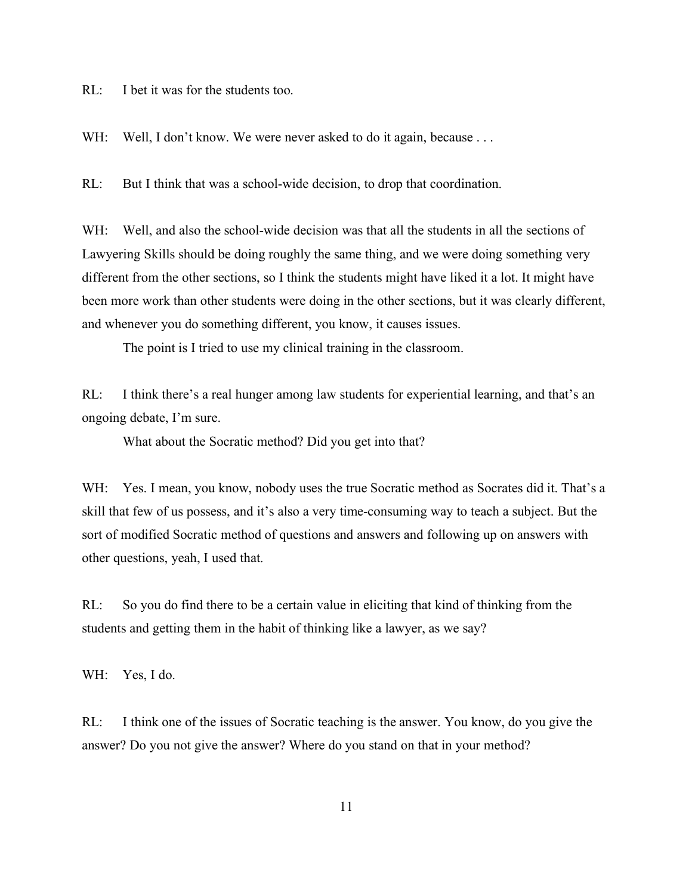RL: I bet it was for the students too.

WH: Well, I don't know. We were never asked to do it again, because ...

RL: But I think that was a school-wide decision, to drop that coordination.

WH: Well, and also the school-wide decision was that all the students in all the sections of Lawyering Skills should be doing roughly the same thing, and we were doing something very different from the other sections, so I think the students might have liked it a lot. It might have been more work than other students were doing in the other sections, but it was clearly different, and whenever you do something different, you know, it causes issues.

The point is I tried to use my clinical training in the classroom.

RL: I think there's a real hunger among law students for experiential learning, and that's an ongoing debate, I'm sure.

What about the Socratic method? Did you get into that?

WH: Yes. I mean, you know, nobody uses the true Socratic method as Socrates did it. That's a skill that few of us possess, and it's also a very time-consuming way to teach a subject. But the sort of modified Socratic method of questions and answers and following up on answers with other questions, yeah, I used that.

RL: So you do find there to be a certain value in eliciting that kind of thinking from the students and getting them in the habit of thinking like a lawyer, as we say?

WH: Yes, I do.

RL: I think one of the issues of Socratic teaching is the answer. You know, do you give the answer? Do you not give the answer? Where do you stand on that in your method?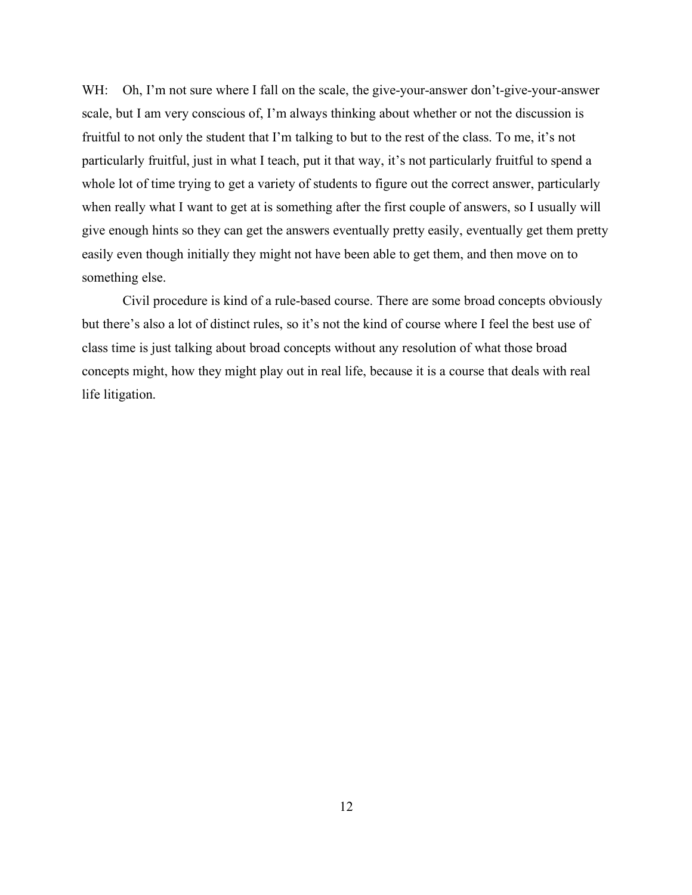WH: Oh, I'm not sure where I fall on the scale, the give-your-answer don't-give-your-answer scale, but I am very conscious of, I'm always thinking about whether or not the discussion is fruitful to not only the student that I'm talking to but to the rest of the class. To me, it's not particularly fruitful, just in what I teach, put it that way, it's not particularly fruitful to spend a whole lot of time trying to get a variety of students to figure out the correct answer, particularly when really what I want to get at is something after the first couple of answers, so I usually will give enough hints so they can get the answers eventually pretty easily, eventually get them pretty easily even though initially they might not have been able to get them, and then move on to something else.

Civil procedure is kind of a rule-based course. There are some broad concepts obviously but there's also a lot of distinct rules, so it's not the kind of course where I feel the best use of class time is just talking about broad concepts without any resolution of what those broad concepts might, how they might play out in real life, because it is a course that deals with real life litigation.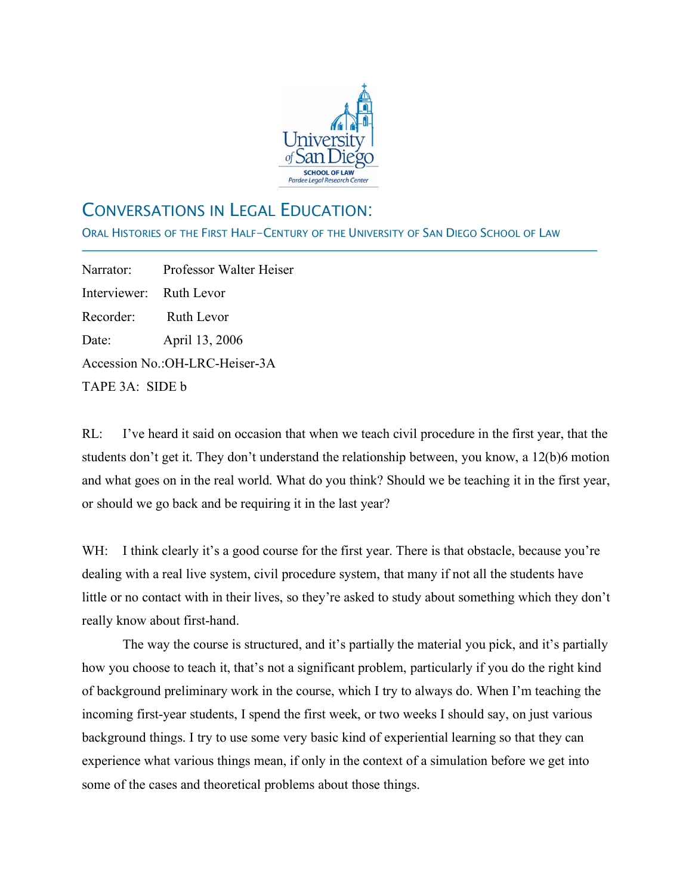

# CONVERSATIONS IN LEGAL EDUCATION:

ORAL HISTORIES OF THE FIRST HALF-CENTURY OF THE UNIVERSITY OF SAN DIEGO SCHOOL OF LAW

Narrator: Professor Walter Heiser Interviewer: Ruth Levor Recorder: Ruth Levor Date: April 13, 2006 Accession No.:OH-LRC-Heiser-3A TAPE 3A: SIDE b

j

RL: I've heard it said on occasion that when we teach civil procedure in the first year, that the students don't get it. They don't understand the relationship between, you know, a 12(b)6 motion and what goes on in the real world. What do you think? Should we be teaching it in the first year, or should we go back and be requiring it in the last year?

WH: I think clearly it's a good course for the first year. There is that obstacle, because you're dealing with a real live system, civil procedure system, that many if not all the students have little or no contact with in their lives, so they're asked to study about something which they don't really know about first-hand.

The way the course is structured, and it's partially the material you pick, and it's partially how you choose to teach it, that's not a significant problem, particularly if you do the right kind of background preliminary work in the course, which I try to always do. When I'm teaching the incoming first-year students, I spend the first week, or two weeks I should say, on just various background things. I try to use some very basic kind of experiential learning so that they can experience what various things mean, if only in the context of a simulation before we get into some of the cases and theoretical problems about those things.